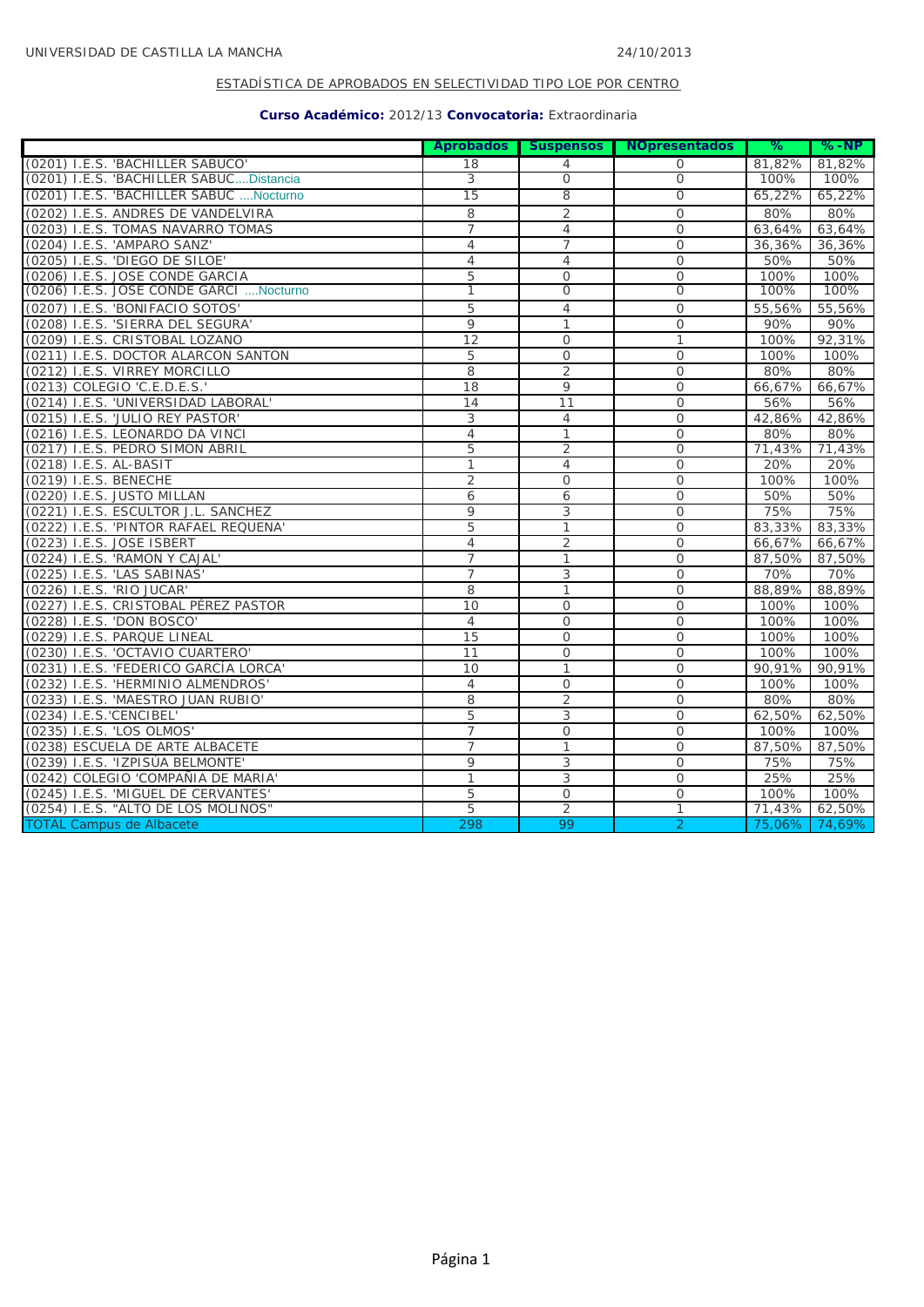|                                          |                |                | Aprobados Suspensos NOpresentados | ℅      | $% - NP$ |
|------------------------------------------|----------------|----------------|-----------------------------------|--------|----------|
| (0201) I.E.S. 'BACHILLER SABUCO'         | 18             | $\overline{4}$ | $\Omega$                          | 81,82% | 81,82%   |
| (0201) I.E.S. 'BACHILLER SABUCDistancia  | 3              | $\overline{0}$ | $\overline{0}$                    | 100%   | 100%     |
| (0201) I.E.S. 'BACHILLER SABUC  Nocturno | 15             | 8              | $\overline{0}$                    | 65,22% | 65,22%   |
| (0202) I.E.S. ANDRES DE VANDELVIRA       | 8              | $\overline{2}$ | $\mathcal{O}$                     | 80%    | 80%      |
| (0203) I.E.S. TOMAS NAVARRO TOMAS        | $\overline{7}$ | $\overline{4}$ | $\mathcal{O}$                     | 63,64% | 63,64%   |
| (0204) I.E.S. 'AMPARO SANZ'              | $\overline{4}$ | $\overline{7}$ | $\mathcal{O}$                     | 36,36% | 36,36%   |
| (0205) I.E.S. 'DIEGO DE SILOE'           | 4              | 4              | 0                                 | 50%    | 50%      |
| (0206) I.E.S. JOSE CONDE GARCIA          | 5              | $\overline{0}$ | $\mathcal{O}$                     | 100%   | 100%     |
| (0206) I.E.S. JOSE CONDE GARCI  Nocturno | 1              | $\overline{0}$ | $\overline{0}$                    | 100%   | 100%     |
| (0207) I.E.S. 'BONIFACIO SOTOS'          | 5              | $\overline{4}$ | $\mathcal{O}$                     | 55,56% | 55,56%   |
| (0208) I.E.S. 'SIERRA DEL SEGURA'        | 9              | $\mathbf{1}$   | $\mathbf 0$                       | 90%    | 90%      |
| (0209) I.E.S. CRISTOBAL LOZANO           | 12             | $\Omega$       | $\mathbf{1}$                      | 100%   | 92,31%   |
| (0211) I.E.S. DOCTOR ALARCON SANTON      | 5              | $\mathcal{O}$  | $\mathcal{O}$                     | 100%   | 100%     |
| (0212) I.E.S. VIRREY MORCILLO            | 8              | $\overline{2}$ | $\mathcal{O}$                     | 80%    | 80%      |
| (0213) COLEGIO 'C.E.D.E.S.'              | 18             | 9              | $\mathcal{O}$                     | 66,67% | 66,67%   |
| (0214) I.E.S. 'UNIVERSIDAD LABORAL'      | 14             | 11             | $\mathcal{O}$                     | 56%    | 56%      |
| (0215) I.E.S. 'JULIO REY PASTOR'         | 3              | $\overline{4}$ | $\Omega$                          | 42.86% | 42,86%   |
| (0216) I.E.S. LEONARDO DA VINCI          | $\overline{4}$ | $\mathbf{1}$   | $\mathbf 0$                       | 80%    | 80%      |
| (0217) I.E.S. PEDRO SIMON ABRIL          | 5              | $\overline{2}$ | $\Omega$                          | 71,43% | 71,43%   |
| (0218) I.E.S. AL-BASIT                   | 1              | $\overline{4}$ | $\Omega$                          | 20%    | 20%      |
| (0219) I.E.S. BENECHE                    | $\overline{2}$ | $\mathcal{O}$  | $\mathbf 0$                       | 100%   | 100%     |
| (0220) I.E.S. JUSTO MILLAN               | 6              | 6              | $\mathbf 0$                       | 50%    | 50%      |
| (0221) I.E.S. ESCULTOR J.L. SANCHEZ      | 9              | 3              | $\mathcal{O}$                     | 75%    | 75%      |
| (0222) I.E.S. 'PINTOR RAFAEL REQUENA'    | 5              | 1              | $\mathcal{O}$                     | 83,33% | 83,33%   |
| (0223) I.E.S. JOSE ISBERT                | 4              | $\overline{2}$ | $\mathcal{O}$                     | 66,67% | 66,67%   |
| (0224) I.E.S. 'RAMON Y CAJAL'            | 7              | $\mathbf{1}$   | $\circ$                           | 87,50% | 87,50%   |
| (0225) I.E.S. 'LAS SABINAS'              | 7              | 3              | $\mathbf 0$                       | 70%    | 70%      |
| (0226) I.E.S. 'RIO JUCAR'                | 8              | $\mathbf{1}$   | $\Omega$                          | 88,89% | 88,89%   |
| (0227) I.E.S. CRISTOBAL PÉREZ PASTOR     | 10             | $\mathcal{O}$  | $\mathcal{O}$                     | 100%   | 100%     |
| (0228) I.E.S. 'DON BOSCO'                | $\overline{4}$ | $\overline{O}$ | $\mathcal{O}$                     | 100%   | 100%     |
| (0229) I.E.S. PARQUE LINEAL              | 15             | $\mathcal{O}$  | $\mathcal{O}$                     | 100%   | 100%     |
| (0230) I.E.S. 'OCTAVIO CUARTERO'         | 11             | $\overline{O}$ | $\mathbf 0$                       | 100%   | 100%     |
| (0231) I.E.S. 'FEDERICO GARCÍA LORCA'    | 10             | 1              | $\circ$                           | 90,91% | 90,91%   |
| (0232) I.E.S. 'HERMINIO ALMENDROS'       | $\overline{4}$ | $\mathbf 0$    | 0                                 | 100%   | 100%     |
| (0233) I.E.S. 'MAESTRO JUAN RUBIO'       | 8              | $\overline{2}$ | $\Omega$                          | 80%    | 80%      |
| (0234) I.E.S.'CENCIBEL'                  | 5              | 3              | $\Omega$                          | 62,50% | 62,50%   |
| (0235) I.E.S. 'LOS OLMOS'                | $\overline{7}$ | $\mathcal{O}$  | $\mathcal{O}$                     | 100%   | 100%     |
| (0238) ESCUELA DE ARTE ALBACETE          | $\overline{7}$ | $\mathbf{1}$   | $\mathbf 0$                       | 87,50% | 87,50%   |
| (0239) I.E.S. 'IZPISÚA BELMONTE'         | 9              | 3              | $\mathcal{O}$                     | 75%    | 75%      |
| (0242) COLEGIO 'COMPAÑIA DE MARIA'       | 1              | 3              | $\mathbf 0$                       | 25%    | 25%      |
| (0245) I.E.S. 'MIGUEL DE CERVANTES'      | 5              | $\mathcal{O}$  | $\mathcal{O}$                     | 100%   | 100%     |
| (0254) I.E.S. "ALTO DE LOS MOLINOS"      | 5              | $\overline{2}$ | 1                                 | 71,43% | 62,50%   |
| <b>TOTAL Campus de Albacete</b>          | 298            | 99             | $\overline{2}$                    | 75,06% | 74,69%   |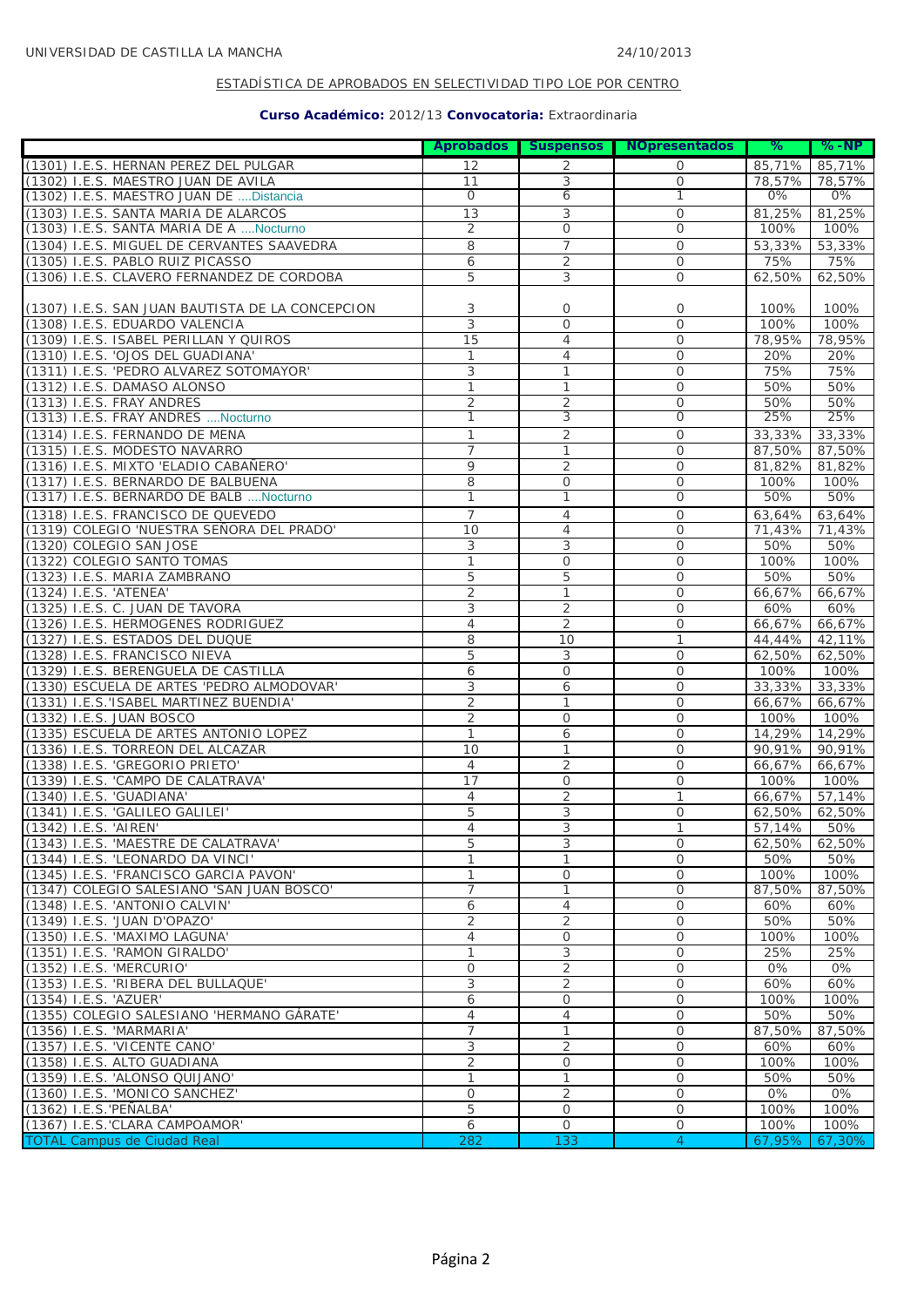|                                                               |                     |                                | Aprobados Suspensos NOpresentados | ℅                | $%$ -NP          |
|---------------------------------------------------------------|---------------------|--------------------------------|-----------------------------------|------------------|------------------|
| (1301) I.E.S. HERNAN PEREZ DEL PULGAR                         | 12                  | 2                              | 0                                 | 85,71%           | 85,71%           |
| (1302) I.E.S. MAESTRO JUAN DE AVILA                           | 11                  | 3                              | $\overline{O}$                    | 78,57%           | 78,57%           |
| (1302) I.E.S. MAESTRO JUAN DE  Distancia                      | $\mathbf 0$         | 6                              | 1                                 | 0%               | 0%               |
| (1303) I.E.S. SANTA MARIA DE ALARCOS                          | 13                  | 3                              | $\mathbf 0$                       | 81,25%           | 81,25%           |
| (1303) I.E.S. SANTA MARIA DE A  Nocturno                      | 2                   | 0                              | $\mathcal{O}$                     | 100%             | 100%             |
| (1304) I.E.S. MIGUEL DE CERVANTES SAAVEDRA                    | 8                   | $\overline{7}$                 | $\mathbf 0$                       | 53,33%           | 53,33%           |
| (1305) I.E.S. PABLO RUIZ PICASSO                              | 6                   | $\overline{2}$                 | 0                                 | 75%              | 75%              |
| (1306) I.E.S. CLAVERO FERNANDEZ DE CORDOBA                    | 5                   | 3                              | $\mathcal{O}$                     | 62,50%           | 62,50%           |
|                                                               |                     |                                |                                   |                  |                  |
| (1307) I.E.S. SAN JUAN BAUTISTA DE LA CONCEPCION              | 3                   | 0                              | $\mathbf 0$                       | 100%             | 100%             |
| (1308) I.E.S. EDUARDO VALENCIA                                | 3                   | $\mathcal{O}$                  | $\mathbf 0$                       | 100%             | 100%             |
| (1309) I.E.S. ISABEL PERILLAN Y QUIROS                        | 15                  | $\overline{4}$                 | $\overline{O}$                    | 78.95%           | 78,95%           |
| (1310) I.E.S. 'OJOS DEL GUADIANA'                             | $\mathbf{1}$        | $\overline{4}$                 | 0                                 | 20%              | 20%              |
| (1311) I.E.S. 'PEDRO ALVAREZ SOTOMAYOR'                       | 3                   | 1                              | $\mathbf 0$                       | 75%              | 75%              |
| (1312) I.E.S. DAMASO ALONSO                                   | 1                   | $\mathbf{1}$                   | $\overline{O}$                    | 50%              | 50%              |
| (1313) I.E.S. FRAY ANDRES                                     | 2                   | $\overline{2}$                 | $\mathcal{O}$                     | 50%              | 50%              |
| (1313) I.E.S. FRAY ANDRES  Nocturno                           | 1                   | 3                              | $\mathbf 0$                       | 25%              | 25%              |
| (1314) I.E.S. FERNANDO DE MENA                                | $\mathbf{1}$        | $\overline{2}$                 | 0                                 | 33,33%           | 33,33%           |
| (1315) I.E.S. MODESTO NAVARRO                                 | 7                   | $\mathbf{1}$                   | $\overline{O}$                    | 87,50%           | 87,50%           |
| (1316) I.E.S. MIXTO 'ELADIO CABAÑERO'                         | 9                   | $\overline{2}$                 | 0                                 | 81,82%           | 81,82%           |
| (1317) I.E.S. BERNARDO DE BALBUENA                            | 8<br>1              | $\mathbf 0$<br>1               | $\mathsf O$<br>$\overline{0}$     | 100%             | 100%<br>50%      |
| (1317) I.E.S. BERNARDO DE BALB  Nocturno                      |                     |                                |                                   | 50%              |                  |
| (1318) I.E.S. FRANCISCO DE QUEVEDO                            | $\overline{7}$      | $\overline{4}$                 | 0                                 | 63,64%           | 63,64%           |
| (1319) COLEGIO 'NUESTRA SEÑORA DEL PRADO'                     | 10                  | $\overline{4}$                 | $\mathbf 0$                       | 71,43%           | 71,43%           |
| (1320) COLEGIO SAN JOSE                                       | 3                   | 3                              | 0                                 | 50%              | 50%              |
| (1322) COLEGIO SANTO TOMAS                                    | $\mathbf{1}$        | $\mathbf{O}$                   | $\mathcal{O}$                     | 100%             | 100%             |
| (1323) I.E.S. MARIA ZAMBRANO                                  | 5                   | 5                              | $\mathbf 0$                       | 50%              | 50%              |
| (1324) I.E.S. 'ATENEA'<br>(1325) I.E.S. C. JUAN DE TAVORA     | $\overline{2}$<br>3 | $\mathbf{1}$<br>$\overline{2}$ | 0<br>$\overline{O}$               | 66,67%<br>60%    | 66,67%<br>60%    |
| (1326) I.E.S. HERMOGENES RODRIGUEZ                            | 4                   | 2                              | $\mathbf 0$                       |                  |                  |
| (1327) I.E.S. ESTADOS DEL DUQUE                               | 8                   | 10                             | 1                                 | 66,67%<br>44,44% | 66,67%<br>42,11% |
| (1328) I.E.S. FRANCISCO NIEVA                                 | 5                   | 3                              | $\overline{O}$                    | 62,50%           | 62,50%           |
| (1329) I.E.S. BERENGUELA DE CASTILLA                          | 6                   | $\mathcal{O}$                  | $\mathbf 0$                       | 100%             | 100%             |
| (1330) ESCUELA DE ARTES 'PEDRO ALMODOVAR'                     | 3                   | 6                              | 0                                 | 33,33%           | 33,33%           |
| (1331) I.E.S.'ISABEL MARTINEZ BUENDIA'                        | $\overline{2}$      | $\mathbf{1}$                   | $\mathbf 0$                       | 66,67%           | 66,67%           |
| (1332) I.E.S. JUAN BOSCO                                      | 2                   | $\circ$                        | $\mathbf 0$                       | 100%             | 100%             |
| (1335) ESCUELA DE ARTES ANTONIO LOPEZ                         | 1                   | 6                              | 0                                 | 14,29%           | 14,29%           |
| (1336) I.E.S. TORREON DEL ALCAZAR                             | 10                  | $\mathbf{1}$                   | $\mathcal{O}$                     | 90,91%           | 90,91%           |
| (1338) I.E.S. 'GREGORIO PRIETO'                               | $\overline{4}$      | $\overline{2}$                 | 0                                 | 66,67%           | 66,67%           |
| (1339) I.E.S. 'CAMPO DE CALATRAVA'                            | 17                  | 0                              | $\mathbf 0$                       | 100%             | 100%             |
| (1340) I.E.S. 'GUADIANA'                                      | 4                   | $\overline{2}$                 | 1                                 | 66,67%           | 57.14%           |
| (1341) I.E.S. 'GALILEO GALILEI'                               | 5                   | 3                              | 0                                 | 62,50%           | 62,50%           |
| (1342) I.E.S. 'AIREN'                                         | $\overline{4}$      | 3                              | $\mathbf{1}$                      | 57,14%           | 50%              |
| (1343) I.E.S. 'MAESTRE DE CALATRAVA'                          | 5                   | 3                              | $\mathbf 0$                       | 62,50%           | 62,50%           |
| (1344) I.E.S. 'LEONARDO DA VINCI'                             | 1                   | $\mathbf{1}$                   | $\circ$                           | 50%              | 50%              |
| (1345) I.E.S. 'FRANCISCO GARCIA PAVON'                        | 1                   | 0                              | 0                                 | 100%             | 100%             |
| (1347) COLEGIO SALESIANO 'SAN JUAN BOSCO'                     | $\overline{7}$      | $\mathbf{1}$                   | 0                                 | 87,50%           | 87,50%           |
| (1348) I.E.S. 'ANTONIO CALVIN'                                | 6                   | $\overline{4}$                 | $\mathcal{O}$                     | 60%              | 60%              |
| (1349) I.E.S. 'JUAN D'OPAZO'                                  | 2                   | 2                              | $\circ$                           | 50%              | 50%              |
| (1350) I.E.S. 'MAXIMO LAGUNA'                                 | 4                   | $\mathsf{O}$                   | 0                                 | 100%             | 100%             |
| (1351) I.E.S. 'RAMON GIRALDO'                                 | 1                   | 3                              | $\mathbf 0$                       | 25%              | 25%              |
| (1352) I.E.S. 'MERCURIO'                                      | 0                   | $\overline{2}$                 | $\circ$                           | 0%               | 0%               |
| (1353) I.E.S. 'RIBERA DEL BULLAQUE'                           | 3                   | $\overline{2}$                 | 0                                 | 60%              | 60%              |
| (1354) I.E.S. 'AZUER'                                         | 6                   | $\mathsf{O}$                   | $\mathcal{O}$                     | 100%             | 100%             |
| (1355) COLEGIO SALESIANO 'HERMANO GÁRATE'                     | 4<br>$\overline{7}$ | 4                              | 0                                 | 50%              | 50%              |
| (1356) I.E.S. 'MARMARIA'                                      |                     | 1                              | 0                                 | 87,50%           | 87,50%           |
| (1357) I.E.S. 'VICENTE CANO'                                  | 3<br>2              | $\overline{2}$<br>$\mathsf{O}$ | 0<br>$\mathcal{O}$                | 60%              | 60%              |
| (1358) I.E.S. ALTO GUADIANA<br>(1359) I.E.S. 'ALONSO QUIJANO' | 1                   | $\mathbf{1}$                   | 0                                 | 100%<br>50%      | 100%<br>50%      |
| (1360) I.E.S. 'MONICO SANCHEZ'                                | $\mathbf{O}$        | $\overline{2}$                 | 0                                 | 0%               | 0%               |
| (1362) I.E.S.'PEÑALBA'                                        | 5                   | $\mathsf{O}$                   | 0                                 | 100%             | 100%             |
| (1367) I.E.S.'CLARA CAMPOAMOR'                                | 6                   | $\mathsf{O}$                   | $\mathsf{O}$                      | 100%             | 100%             |
| <b>TOTAL Campus de Ciudad Real</b>                            | 282                 | 133                            | $\overline{4}$                    | 67,95%           | 67,30%           |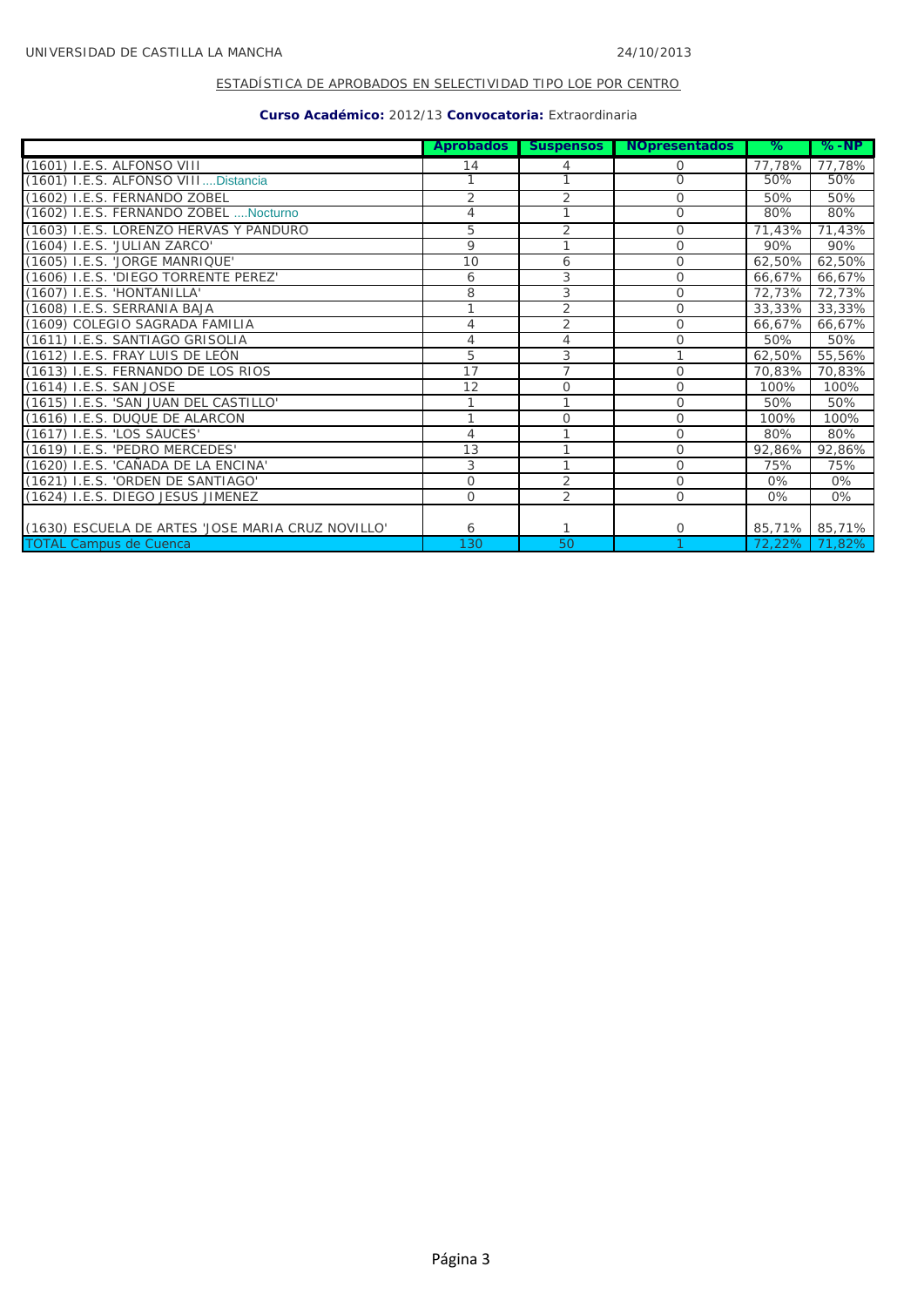|                                                   | <b>Aprobados</b> | <b>Suspensos</b> | <b>NOpresentados</b> | ℅      | %-NP   |
|---------------------------------------------------|------------------|------------------|----------------------|--------|--------|
| (1601) I.E.S. ALFONSO VIII                        | 14               | 4                | Ο                    | 77,78% | 77,78% |
| (1601) I.E.S. ALFONSO VIIIDistancia               |                  |                  | $\overline{0}$       | 50%    | 50%    |
| (1602) I.E.S. FERNANDO ZOBEL                      | 2                | 2                | $\overline{O}$       | 50%    | 50%    |
| (1602) I.E.S. FERNANDO ZOBEL  Nocturno            | 4                |                  | $\circ$              | 80%    | 80%    |
| (1603) I.E.S. LORENZO HERVAS Y PANDURO            | 5                | $\overline{2}$   | $\circ$              | 71,43% | 71,43% |
| (1604) I.E.S. 'JULIAN ZARCO'                      | 9                |                  | $\Omega$             | 90%    | 90%    |
| (1605) I.E.S. 'JORGE MANRIQUE'                    | 10               | 6                | 0                    | 62,50% | 62,50% |
| (1606) I.E.S. 'DIEGO TORRENTE PEREZ'              | 6                | 3                | $\Omega$             | 66,67% | 66,67% |
| (1607) I.E.S. 'HONTANILLA'                        | 8                | 3                | $\Omega$             | 72,73% | 72,73% |
| (1608) I.E.S. SERRANIA BAJA                       |                  | 2                | 0                    | 33,33% | 33,33% |
| (1609) COLEGIO SAGRADA FAMILIA                    | 4                | 2                | $\circ$              | 66,67% | 66,67% |
| (1611) I.E.S. SANTIAGO GRISOLIA                   | 4                | 4                | $\overline{O}$       | 50%    | 50%    |
| (1612) I.E.S. FRAY LUIS DE LEÓN                   | 5                | 3                |                      | 62,50% | 55,56% |
| (1613) I.E.S. FERNANDO DE LOS RIOS                | 17               | $\overline{7}$   | $\Omega$             | 70,83% | 70,83% |
| (1614) I.E.S. SAN JOSE                            | 12               | $\mathbf 0$      | $\Omega$             | 100%   | 100%   |
| (1615) I.E.S. 'SAN JUAN DEL CASTILLO'             |                  |                  | $\Omega$             | 50%    | 50%    |
| (1616) I.E.S. DUQUE DE ALARCON                    |                  | $\circ$          | $\overline{O}$       | 100%   | 100%   |
| (1617) I.E.S. 'LOS SAUCES'                        | 4                |                  | $\overline{O}$       | 80%    | 80%    |
| (1619) I.E.S. 'PEDRO MERCEDES'                    | 13               | 1                | 0                    | 92,86% | 92,86% |
| (1620) I.E.S. 'CAÑADA DE LA ENCINA'               | 3                |                  | $\Omega$             | 75%    | 75%    |
| (1621) I.E.S. 'ORDEN DE SANTIAGO'                 | 0                | 2                | $\overline{O}$       | $0\%$  | 0%     |
| (1624) I.E.S. DIEGO JESUS JIMENEZ                 | $\circ$          | 2                | $\mathcal{O}$        | 0%     | 0%     |
|                                                   |                  |                  |                      |        |        |
| (1630) ESCUELA DE ARTES 'JOSE MARIA CRUZ NOVILLO' | 6                |                  | $\circ$              | 85,71% | 85,71% |
| <b>TOTAL Campus de Cuenca</b>                     | 130              | 50               |                      | 72,22% | 71,82% |